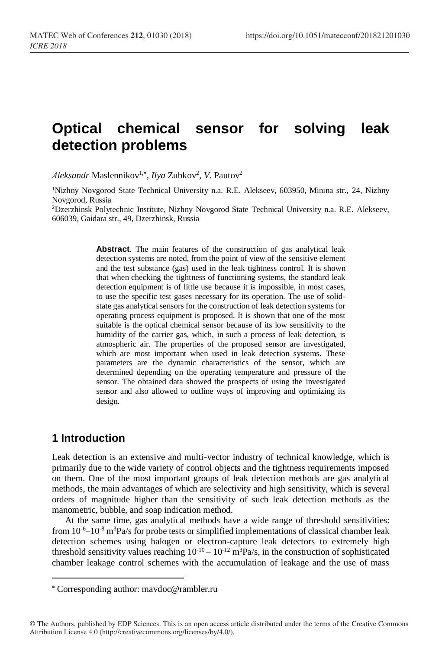# **Optical chemical sensor for solving leak detection problems**

*Aleksandr* Maslennikov<sup>1,\*</sup>, *Ilya* Zubkov<sup>2</sup>, *V*. Pautov<sup>2</sup>

<sup>1</sup>Nizhny Novgorod State Technical University n.a. R.E. Alekseev, 603950, Minina str., 24, Nizhny Novgorod, Russia

<sup>2</sup>Dzerzhinsk Polytechnic Institute, Nizhny Novgorod State Technical University n.a. R.E. Alekseev, 606039, Gaidara str., 49, Dzerzhinsk, Russia

> **Abstract**. The main features of the construction of gas analytical leak detection systems are noted, from the point of view of the sensitive element and the test substance (gas) used in the leak tightness control. It is shown that when checking the tightness of functioning systems, the standard leak detection equipment is of little use because it is impossible, in most cases, to use the specific test gases necessary for its operation. The use of solidstate gas analytical sensors for the construction of leak detection systems for operating process equipment is proposed. It is shown that one of the most suitable is the optical chemical sensor because of its low sensitivity to the humidity of the carrier gas, which, in such a process of leak detection, is atmospheric air. The properties of the proposed sensor are investigated, which are most important when used in leak detection systems. These parameters are the dynamic characteristics of the sensor, which are determined depending on the operating temperature and pressure of the sensor. The obtained data showed the prospects of using the investigated sensor and also allowed to outline ways of improving and optimizing its design.

## **1 Introduction**

l

Leak detection is an extensive and multi-vector industry of technical knowledge, which is primarily due to the wide variety of control objects and the tightness requirements imposed on them. One of the most important groups of leak detection methods are gas analytical methods, the main advantages of which are selectivity and high sensitivity, which is several orders of magnitude higher than the sensitivity of such leak detection methods as the manometric, bubble, and soap indication method.

At the same time, gas analytical methods have a wide range of threshold sensitivities: from  $10^{-6}$ – $10^{-8}$  m<sup>3</sup>Pa/s for probe tests or simplified implementations of classical chamber leak detection schemes using halogen or electron-capture leak detectors to extremely high threshold sensitivity values reaching  $10^{-10} - 10^{-12}$  m<sup>3</sup>Pa/s, in the construction of sophisticated chamber leakage control schemes with the accumulation of leakage and the use of mass

Corresponding author: mavdoc@rambler.ru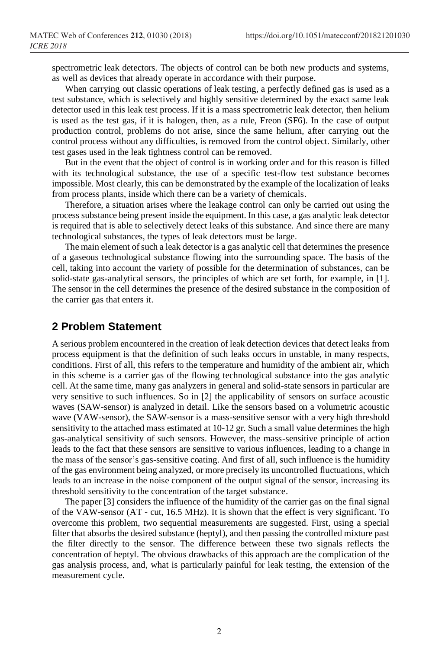spectrometric leak detectors. The objects of control can be both new products and systems, as well as devices that already operate in accordance with their purpose.

When carrying out classic operations of leak testing, a perfectly defined gas is used as a test substance, which is selectively and highly sensitive determined by the exact same leak detector used in this leak test process. If it is a mass spectrometric leak detector, then helium is used as the test gas, if it is halogen, then, as a rule, Freon (SF6). In the case of output production control, problems do not arise, since the same helium, after carrying out the control process without any difficulties, is removed from the control object. Similarly, other test gases used in the leak tightness control can be removed.

But in the event that the object of control is in working order and for this reason is filled with its technological substance, the use of a specific test-flow test substance becomes impossible. Most clearly, this can be demonstrated by the example of the localization of leaks from process plants, inside which there can be a variety of chemicals.

Therefore, a situation arises where the leakage control can only be carried out using the process substance being present inside the equipment. In this case, a gas analytic leak detector is required that is able to selectively detect leaks of this substance. And since there are many technological substances, the types of leak detectors must be large.

The main element of such a leak detector is a gas analytic cell that determines the presence of a gaseous technological substance flowing into the surrounding space. The basis of the cell, taking into account the variety of possible for the determination of substances, can be solid-state gas-analytical sensors, the principles of which are set forth, for example, in [1]. The sensor in the cell determines the presence of the desired substance in the composition of the carrier gas that enters it.

## **2 Problem Statement**

A serious problem encountered in the creation of leak detection devices that detect leaks from process equipment is that the definition of such leaks occurs in unstable, in many respects, conditions. First of all, this refers to the temperature and humidity of the ambient air, which in this scheme is a carrier gas of the flowing technological substance into the gas analytic cell. At the same time, many gas analyzers in general and solid-state sensors in particular are very sensitive to such influences. So in [2] the applicability of sensors on surface acoustic waves (SAW-sensor) is analyzed in detail. Like the sensors based on a volumetric acoustic wave (VAW-sensor), the SAW-sensor is a mass-sensitive sensor with a very high threshold sensitivity to the attached mass estimated at 10-12 gr. Such a small value determines the high gas-analytical sensitivity of such sensors. However, the mass-sensitive principle of action leads to the fact that these sensors are sensitive to various influences, leading to a change in the mass of the sensor's gas-sensitive coating. And first of all, such influence is the humidity of the gas environment being analyzed, or more precisely its uncontrolled fluctuations, which leads to an increase in the noise component of the output signal of the sensor, increasing its threshold sensitivity to the concentration of the target substance.

The paper [3] considers the influence of the humidity of the carrier gas on the final signal of the VAW-sensor (AT - cut, 16.5 MHz). It is shown that the effect is very significant. To overcome this problem, two sequential measurements are suggested. First, using a special filter that absorbs the desired substance (heptyl), and then passing the controlled mixture past the filter directly to the sensor. The difference between these two signals reflects the concentration of heptyl. The obvious drawbacks of this approach are the complication of the gas analysis process, and, what is particularly painful for leak testing, the extension of the measurement cycle.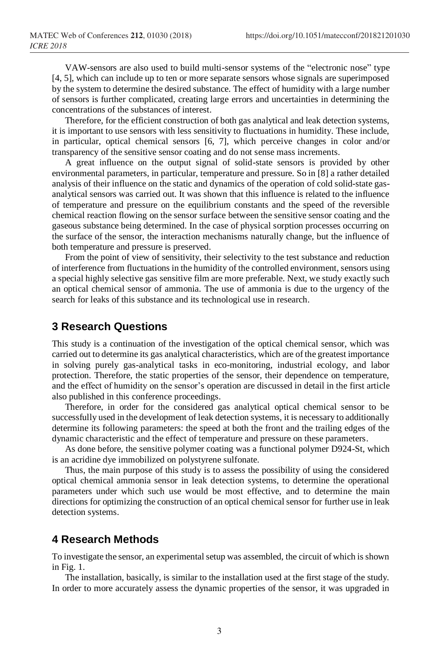VAW-sensors are also used to build multi-sensor systems of the "electronic nose" type [4, 5], which can include up to ten or more separate sensors whose signals are superimposed by the system to determine the desired substance. The effect of humidity with a large number of sensors is further complicated, creating large errors and uncertainties in determining the concentrations of the substances of interest.

Therefore, for the efficient construction of both gas analytical and leak detection systems, it is important to use sensors with less sensitivity to fluctuations in humidity. These include, in particular, optical chemical sensors [6, 7], which perceive changes in color and/or transparency of the sensitive sensor coating and do not sense mass increments.

A great influence on the output signal of solid-state sensors is provided by other environmental parameters, in particular, temperature and pressure. So in [8] a rather detailed analysis of their influence on the static and dynamics of the operation of cold solid-state gasanalytical sensors was carried out. It was shown that this influence is related to the influence of temperature and pressure on the equilibrium constants and the speed of the reversible chemical reaction flowing on the sensor surface between the sensitive sensor coating and the gaseous substance being determined. In the case of physical sorption processes occurring on the surface of the sensor, the interaction mechanisms naturally change, but the influence of both temperature and pressure is preserved.

From the point of view of sensitivity, their selectivity to the test substance and reduction of interference from fluctuations in the humidity of the controlled environment, sensors using a special highly selective gas sensitive film are more preferable. Next, we study exactly such an optical chemical sensor of ammonia. The use of ammonia is due to the urgency of the search for leaks of this substance and its technological use in research.

## **3 Research Questions**

This study is a continuation of the investigation of the optical chemical sensor, which was carried out to determine its gas analytical characteristics, which are of the greatest importance in solving purely gas-analytical tasks in eco-monitoring, industrial ecology, and labor protection. Therefore, the static properties of the sensor, their dependence on temperature, and the effect of humidity on the sensor's operation are discussed in detail in the first article also published in this conference proceedings.

Therefore, in order for the considered gas analytical optical chemical sensor to be successfully used in the development of leak detection systems, it is necessary to additionally determine its following parameters: the speed at both the front and the trailing edges of the dynamic characteristic and the effect of temperature and pressure on these parameters.

As done before, the sensitive polymer coating was a functional polymer D924-St, which is an acridine dye immobilized on polystyrene sulfonate.

Thus, the main purpose of this study is to assess the possibility of using the considered optical chemical ammonia sensor in leak detection systems, to determine the operational parameters under which such use would be most effective, and to determine the main directions for optimizing the construction of an optical chemical sensor for further use in leak detection systems.

## **4 Research Methods**

To investigate the sensor, an experimental setup was assembled, the circuit of which is shown in Fig. 1.

The installation, basically, is similar to the installation used at the first stage of the study. In order to more accurately assess the dynamic properties of the sensor, it was upgraded in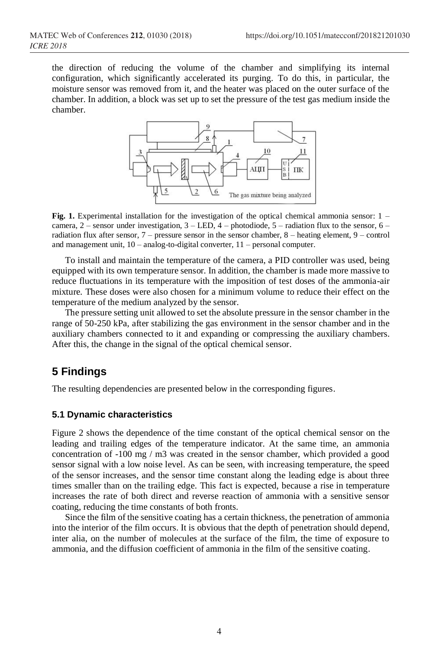the direction of reducing the volume of the chamber and simplifying its internal configuration, which significantly accelerated its purging. To do this, in particular, the moisture sensor was removed from it, and the heater was placed on the outer surface of the chamber. In addition, a block was set up to set the pressure of the test gas medium inside the chamber.



**Fig. 1.** Experimental installation for the investigation of the optical chemical ammonia sensor: 1 – camera,  $2$  – sensor under investigation,  $3$  – LED,  $4$  – photodiode,  $5$  – radiation flux to the sensor,  $6$  – radiation flux after sensor, 7 – pressure sensor in the sensor chamber, 8 – heating element, 9 – control and management unit, 10 – analog-to-digital converter, 11 – personal computer.

To install and maintain the temperature of the camera, a PID controller was used, being equipped with its own temperature sensor. In addition, the chamber is made more massive to reduce fluctuations in its temperature with the imposition of test doses of the ammonia-air mixture. These doses were also chosen for a minimum volume to reduce their effect on the temperature of the medium analyzed by the sensor.

The pressure setting unit allowed to set the absolute pressure in the sensor chamber in the range of 50-250 kPa, after stabilizing the gas environment in the sensor chamber and in the auxiliary chambers connected to it and expanding or compressing the auxiliary chambers. After this, the change in the signal of the optical chemical sensor.

## **5 Findings**

The resulting dependencies are presented below in the corresponding figures.

#### **5.1 Dynamic characteristics**

Figure 2 shows the dependence of the time constant of the optical chemical sensor on the leading and trailing edges of the temperature indicator. At the same time, an ammonia concentration of -100 mg / m3 was created in the sensor chamber, which provided a good sensor signal with a low noise level. As can be seen, with increasing temperature, the speed of the sensor increases, and the sensor time constant along the leading edge is about three times smaller than on the trailing edge. This fact is expected, because a rise in temperature increases the rate of both direct and reverse reaction of ammonia with a sensitive sensor coating, reducing the time constants of both fronts.

Since the film of the sensitive coating has a certain thickness, the penetration of ammonia into the interior of the film occurs. It is obvious that the depth of penetration should depend, inter alia, on the number of molecules at the surface of the film, the time of exposure to ammonia, and the diffusion coefficient of ammonia in the film of the sensitive coating.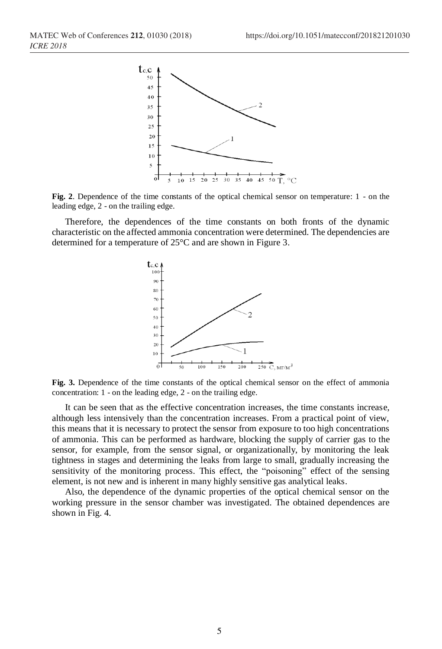

**Fig. 2**. Dependence of the time constants of the optical chemical sensor on temperature: 1 - on the leading edge, 2 - on the trailing edge.

Therefore, the dependences of the time constants on both fronts of the dynamic characteristic on the affected ammonia concentration were determined. The dependencies are determined for a temperature of 25°C and are shown in Figure 3.



**Fig. 3.** Dependence of the time constants of the optical chemical sensor on the effect of ammonia concentration: 1 - on the leading edge, 2 - on the trailing edge.

It can be seen that as the effective concentration increases, the time constants increase, although less intensively than the concentration increases. From a practical point of view, this means that it is necessary to protect the sensor from exposure to too high concentrations of ammonia. This can be performed as hardware, blocking the supply of carrier gas to the sensor, for example, from the sensor signal, or organizationally, by monitoring the leak tightness in stages and determining the leaks from large to small, gradually increasing the sensitivity of the monitoring process. This effect, the "poisoning" effect of the sensing element, is not new and is inherent in many highly sensitive gas analytical leaks.

Also, the dependence of the dynamic properties of the optical chemical sensor on the working pressure in the sensor chamber was investigated. The obtained dependences are shown in Fig. 4.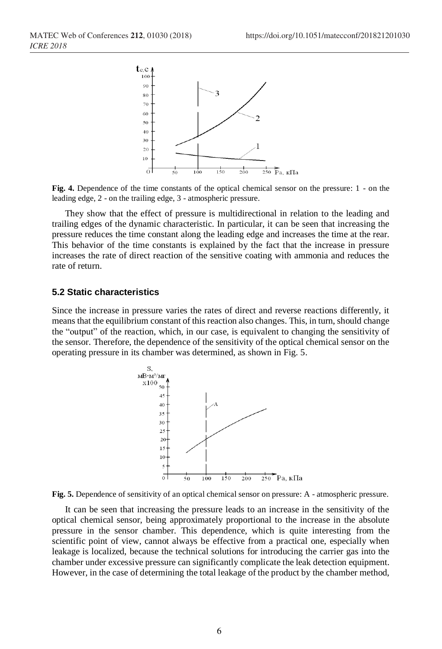

**Fig. 4.** Dependence of the time constants of the optical chemical sensor on the pressure: 1 - on the leading edge, 2 - on the trailing edge, 3 - atmospheric pressure.

They show that the effect of pressure is multidirectional in relation to the leading and trailing edges of the dynamic characteristic. In particular, it can be seen that increasing the pressure reduces the time constant along the leading edge and increases the time at the rear. This behavior of the time constants is explained by the fact that the increase in pressure increases the rate of direct reaction of the sensitive coating with ammonia and reduces the rate of return.

#### **5.2 Static characteristics**

Since the increase in pressure varies the rates of direct and reverse reactions differently, it means that the equilibrium constant of this reaction also changes. This, in turn, should change the "output" of the reaction, which, in our case, is equivalent to changing the sensitivity of the sensor. Therefore, the dependence of the sensitivity of the optical chemical sensor on the operating pressure in its chamber was determined, as shown in Fig. 5.





It can be seen that increasing the pressure leads to an increase in the sensitivity of the optical chemical sensor, being approximately proportional to the increase in the absolute pressure in the sensor chamber. This dependence, which is quite interesting from the scientific point of view, cannot always be effective from a practical one, especially when leakage is localized, because the technical solutions for introducing the carrier gas into the chamber under excessive pressure can significantly complicate the leak detection equipment. However, in the case of determining the total leakage of the product by the chamber method,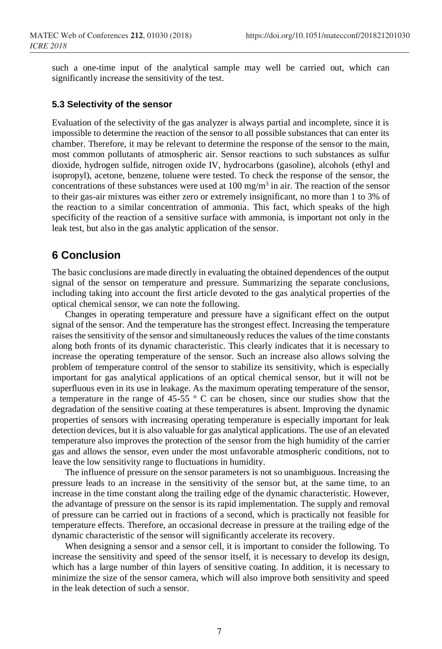such a one-time input of the analytical sample may well be carried out, which can significantly increase the sensitivity of the test.

#### **5.3 Selectivity of the sensor**

Evaluation of the selectivity of the gas analyzer is always partial and incomplete, since it is impossible to determine the reaction of the sensor to all possible substances that can enter its chamber. Therefore, it may be relevant to determine the response of the sensor to the main, most common pollutants of atmospheric air. Sensor reactions to such substances as sulfur dioxide, hydrogen sulfide, nitrogen oxide IV, hydrocarbons (gasoline), alcohols (ethyl and isopropyl), acetone, benzene, toluene were tested. To check the response of the sensor, the concentrations of these substances were used at  $100 \text{ mg/m}^3$  in air. The reaction of the sensor to their gas-air mixtures was either zero or extremely insignificant, no more than 1 to 3% of the reaction to a similar concentration of ammonia. This fact, which speaks of the high specificity of the reaction of a sensitive surface with ammonia, is important not only in the leak test, but also in the gas analytic application of the sensor.

# **6 Conclusion**

The basic conclusions are made directly in evaluating the obtained dependences of the output signal of the sensor on temperature and pressure. Summarizing the separate conclusions, including taking into account the first article devoted to the gas analytical properties of the optical chemical sensor, we can note the following.

Changes in operating temperature and pressure have a significant effect on the output signal of the sensor. And the temperature has the strongest effect. Increasing the temperature raises the sensitivity of the sensor and simultaneously reduces the values of the time constants along both fronts of its dynamic characteristic. This clearly indicates that it is necessary to increase the operating temperature of the sensor. Such an increase also allows solving the problem of temperature control of the sensor to stabilize its sensitivity, which is especially important for gas analytical applications of an optical chemical sensor, but it will not be superfluous even in its use in leakage. As the maximum operating temperature of the sensor, a temperature in the range of 45-55 ° C can be chosen, since our studies show that the degradation of the sensitive coating at these temperatures is absent. Improving the dynamic properties of sensors with increasing operating temperature is especially important for leak detection devices, but it is also valuable for gas analytical applications. The use of an elevated temperature also improves the protection of the sensor from the high humidity of the carrier gas and allows the sensor, even under the most unfavorable atmospheric conditions, not to leave the low sensitivity range to fluctuations in humidity.

The influence of pressure on the sensor parameters is not so unambiguous. Increasing the pressure leads to an increase in the sensitivity of the sensor but, at the same time, to an increase in the time constant along the trailing edge of the dynamic characteristic. However, the advantage of pressure on the sensor is its rapid implementation. The supply and removal of pressure can be carried out in fractions of a second, which is practically not feasible for temperature effects. Therefore, an occasional decrease in pressure at the trailing edge of the dynamic characteristic of the sensor will significantly accelerate its recovery.

When designing a sensor and a sensor cell, it is important to consider the following. To increase the sensitivity and speed of the sensor itself, it is necessary to develop its design, which has a large number of thin layers of sensitive coating. In addition, it is necessary to minimize the size of the sensor camera, which will also improve both sensitivity and speed in the leak detection of such a sensor.